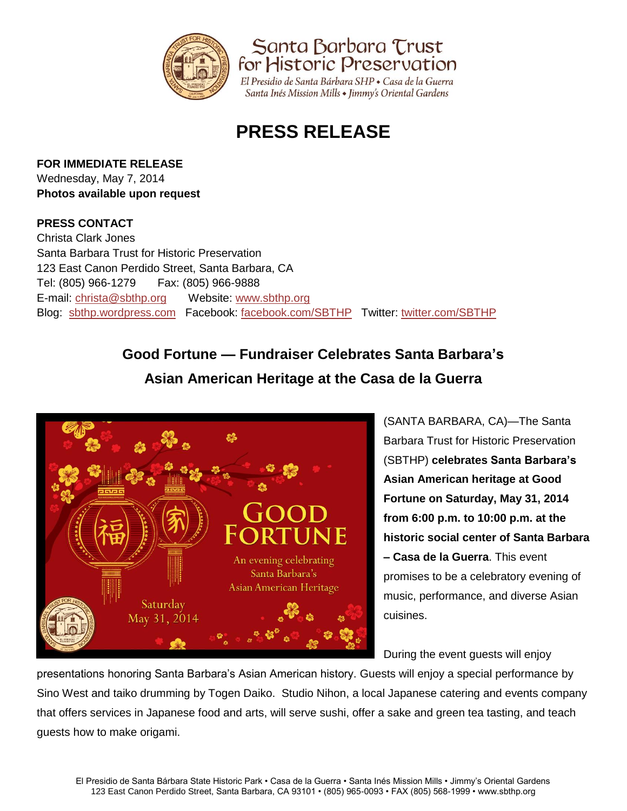

Santa Barbara Trust for Historic Preservation

El Presidio de Santa Bárbara SHP · Casa de la Guerra Santa Inés Mission Mills • Jimmy's Oriental Gardens

# **PRESS RELEASE**

## **FOR IMMEDIATE RELEASE**

Wednesday, May 7, 2014 **Photos available upon request**

## **PRESS CONTACT**

Christa Clark Jones Santa Barbara Trust for Historic Preservation 123 East Canon Perdido Street, Santa Barbara, CA Tel: (805) 966-1279 Fax: (805) 966-9888 E-mail: [christa@sbthp.org](mailto:christa@sbthp.org) Website: [www.sbthp.org](http://www.sbthp.org/) Blog: [sbthp.wordpress.com](http://sbthp.wordpress.com/) Facebook: [facebook.com/SBTHP](http://www.facebook.com/SBTHP) Twitter: [twitter.com/SBTHP](http://twitter.com/SBTHP)

# **Good Fortune — Fundraiser Celebrates Santa Barbara's**



(SANTA BARBARA, CA)—The Santa Barbara Trust for Historic Preservation (SBTHP) **celebrates Santa Barbara's Asian American heritage at Good Fortune on Saturday, May 31, 2014 from 6:00 p.m. to 10:00 p.m. at the historic social center of Santa Barbara – Casa de la Guerra**. This event promises to be a celebratory evening of music, performance, and diverse Asian cuisines.

During the event guests will enjoy

presentations honoring Santa Barbara's Asian American history. Guests will enjoy a special performance by Sino West and taiko drumming by Togen Daiko. Studio Nihon, a local Japanese catering and events company that offers services in Japanese food and arts, will serve sushi, offer a sake and green tea tasting, and teach guests how to make origami.

**Asian American Heritage at the Casa de la Guerra**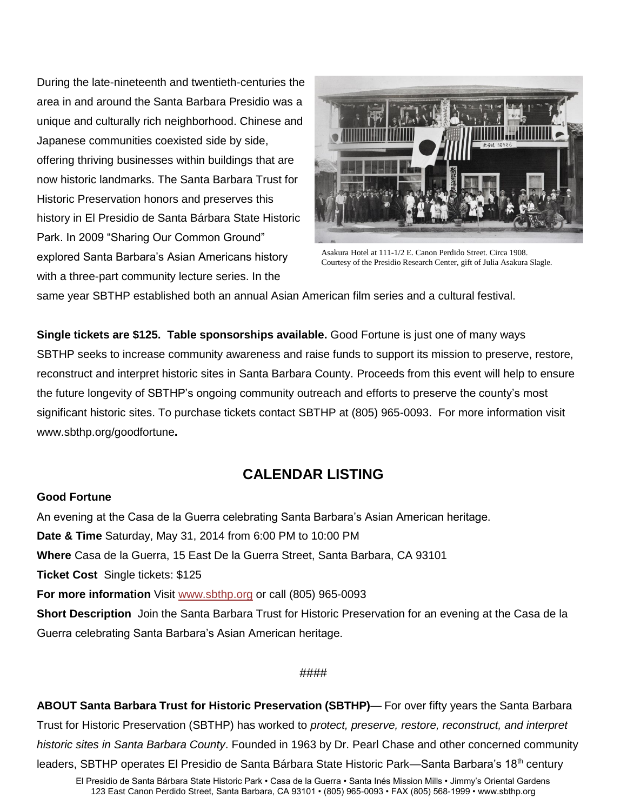During the late-nineteenth and twentieth-centuries the area in and around the Santa Barbara Presidio was a unique and culturally rich neighborhood. Chinese and Japanese communities coexisted side by side, offering thriving businesses within buildings that are now historic landmarks. The Santa Barbara Trust for Historic Preservation honors and preserves this history in El Presidio de Santa Bárbara State Historic Park. In 2009 "Sharing Our Common Ground" explored Santa Barbara's Asian Americans history with a three-part community lecture series. In the



Asakura Hotel at 111-1/2 E. Canon Perdido Street. Circa 1908. Courtesy of the Presidio Research Center, gift of Julia Asakura Slagle.

same year SBTHP established both an annual Asian American film series and a cultural festival.

**Single tickets are \$125. Table sponsorships available.** Good Fortune is just one of many ways SBTHP seeks to increase community awareness and raise funds to support its mission to preserve, restore, reconstruct and interpret historic sites in Santa Barbara County. Proceeds from this event will help to ensure the future longevity of SBTHP's ongoing community outreach and efforts to preserve the county's most significant historic sites. To purchase tickets contact SBTHP at (805) 965-0093.For more information visit www.sbthp.org/goodfortune**.**

# **CALENDAR LISTING**

### **Good Fortune**

An evening at the Casa de la Guerra celebrating Santa Barbara's Asian American heritage. **Date & Time** Saturday, May 31, 2014 from 6:00 PM to 10:00 PM **Where** Casa de la Guerra, 15 East De la Guerra Street, Santa Barbara, CA 93101 **Ticket Cost** Single tickets: \$125 **For more information** Visit [www.sbthp.org](http://www.sbthp.org/) or call (805) 965-0093 **Short Description** Join the Santa Barbara Trust for Historic Preservation for an evening at the Casa de la Guerra celebrating Santa Barbara's Asian American heritage.

### ####

**ABOUT Santa Barbara Trust for Historic Preservation (SBTHP)**— For over fifty years the Santa Barbara Trust for Historic Preservation (SBTHP) has worked to *protect, preserve, restore, reconstruct, and interpret historic sites in Santa Barbara County*. Founded in 1963 by Dr. Pearl Chase and other concerned community leaders, SBTHP operates El Presidio de Santa Bárbara State Historic Park—Santa Barbara's 18<sup>th</sup> century